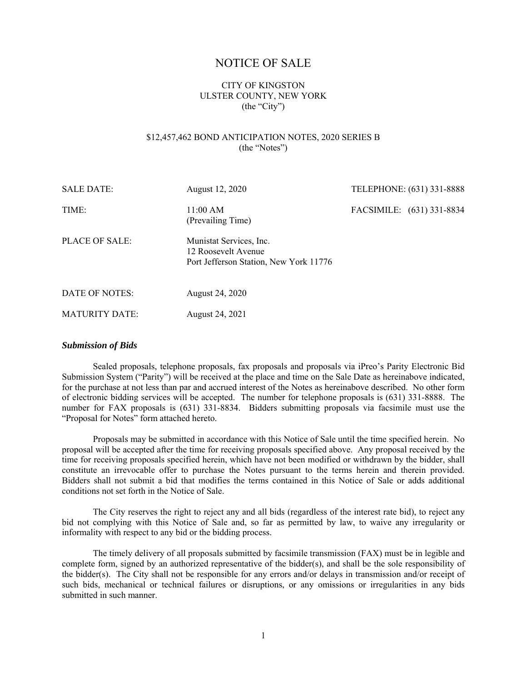# NOTICE OF SALE

# CITY OF KINGSTON ULSTER COUNTY, NEW YORK (the "City")

# \$12,457,462 BOND ANTICIPATION NOTES, 2020 SERIES B (the "Notes")

| <b>SALE DATE:</b>     | August 12, 2020                                                                          | TELEPHONE: (631) 331-8888 |
|-----------------------|------------------------------------------------------------------------------------------|---------------------------|
| TIME:                 | 11:00 AM<br>(Prevailing Time)                                                            | FACSIMILE: (631) 331-8834 |
| <b>PLACE OF SALE:</b> | Munistat Services, Inc.<br>12 Roosevelt Avenue<br>Port Jefferson Station, New York 11776 |                           |
| DATE OF NOTES:        | August 24, 2020                                                                          |                           |
| <b>MATURITY DATE:</b> | August 24, 2021                                                                          |                           |

# *Submission of Bids*

Sealed proposals, telephone proposals, fax proposals and proposals via iPreo's Parity Electronic Bid Submission System ("Parity") will be received at the place and time on the Sale Date as hereinabove indicated, for the purchase at not less than par and accrued interest of the Notes as hereinabove described. No other form of electronic bidding services will be accepted. The number for telephone proposals is (631) 331-8888. The number for FAX proposals is (631) 331-8834. Bidders submitting proposals via facsimile must use the "Proposal for Notes" form attached hereto.

Proposals may be submitted in accordance with this Notice of Sale until the time specified herein. No proposal will be accepted after the time for receiving proposals specified above. Any proposal received by the time for receiving proposals specified herein, which have not been modified or withdrawn by the bidder, shall constitute an irrevocable offer to purchase the Notes pursuant to the terms herein and therein provided. Bidders shall not submit a bid that modifies the terms contained in this Notice of Sale or adds additional conditions not set forth in the Notice of Sale.

The City reserves the right to reject any and all bids (regardless of the interest rate bid), to reject any bid not complying with this Notice of Sale and, so far as permitted by law, to waive any irregularity or informality with respect to any bid or the bidding process.

The timely delivery of all proposals submitted by facsimile transmission (FAX) must be in legible and complete form, signed by an authorized representative of the bidder(s), and shall be the sole responsibility of the bidder(s). The City shall not be responsible for any errors and/or delays in transmission and/or receipt of such bids, mechanical or technical failures or disruptions, or any omissions or irregularities in any bids submitted in such manner.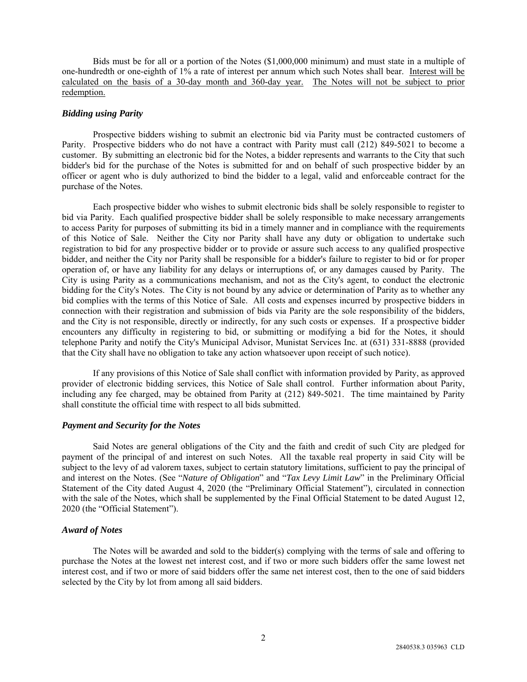Bids must be for all or a portion of the Notes (\$1,000,000 minimum) and must state in a multiple of one-hundredth or one-eighth of 1% a rate of interest per annum which such Notes shall bear. Interest will be calculated on the basis of a 30-day month and 360-day year. The Notes will not be subject to prior redemption.

# *Bidding using Parity*

Prospective bidders wishing to submit an electronic bid via Parity must be contracted customers of Parity. Prospective bidders who do not have a contract with Parity must call (212) 849-5021 to become a customer. By submitting an electronic bid for the Notes, a bidder represents and warrants to the City that such bidder's bid for the purchase of the Notes is submitted for and on behalf of such prospective bidder by an officer or agent who is duly authorized to bind the bidder to a legal, valid and enforceable contract for the purchase of the Notes.

Each prospective bidder who wishes to submit electronic bids shall be solely responsible to register to bid via Parity. Each qualified prospective bidder shall be solely responsible to make necessary arrangements to access Parity for purposes of submitting its bid in a timely manner and in compliance with the requirements of this Notice of Sale. Neither the City nor Parity shall have any duty or obligation to undertake such registration to bid for any prospective bidder or to provide or assure such access to any qualified prospective bidder, and neither the City nor Parity shall be responsible for a bidder's failure to register to bid or for proper operation of, or have any liability for any delays or interruptions of, or any damages caused by Parity. The City is using Parity as a communications mechanism, and not as the City's agent, to conduct the electronic bidding for the City's Notes. The City is not bound by any advice or determination of Parity as to whether any bid complies with the terms of this Notice of Sale. All costs and expenses incurred by prospective bidders in connection with their registration and submission of bids via Parity are the sole responsibility of the bidders, and the City is not responsible, directly or indirectly, for any such costs or expenses. If a prospective bidder encounters any difficulty in registering to bid, or submitting or modifying a bid for the Notes, it should telephone Parity and notify the City's Municipal Advisor, Munistat Services Inc. at (631) 331-8888 (provided that the City shall have no obligation to take any action whatsoever upon receipt of such notice).

If any provisions of this Notice of Sale shall conflict with information provided by Parity, as approved provider of electronic bidding services, this Notice of Sale shall control. Further information about Parity, including any fee charged, may be obtained from Parity at (212) 849-5021. The time maintained by Parity shall constitute the official time with respect to all bids submitted.

#### *Payment and Security for the Notes*

Said Notes are general obligations of the City and the faith and credit of such City are pledged for payment of the principal of and interest on such Notes. All the taxable real property in said City will be subject to the levy of ad valorem taxes, subject to certain statutory limitations, sufficient to pay the principal of and interest on the Notes. (See "*Nature of Obligation*" and "*Tax Levy Limit Law*" in the Preliminary Official Statement of the City dated August 4, 2020 (the "Preliminary Official Statement"), circulated in connection with the sale of the Notes, which shall be supplemented by the Final Official Statement to be dated August 12, 2020 (the "Official Statement").

#### *Award of Notes*

The Notes will be awarded and sold to the bidder(s) complying with the terms of sale and offering to purchase the Notes at the lowest net interest cost, and if two or more such bidders offer the same lowest net interest cost, and if two or more of said bidders offer the same net interest cost, then to the one of said bidders selected by the City by lot from among all said bidders.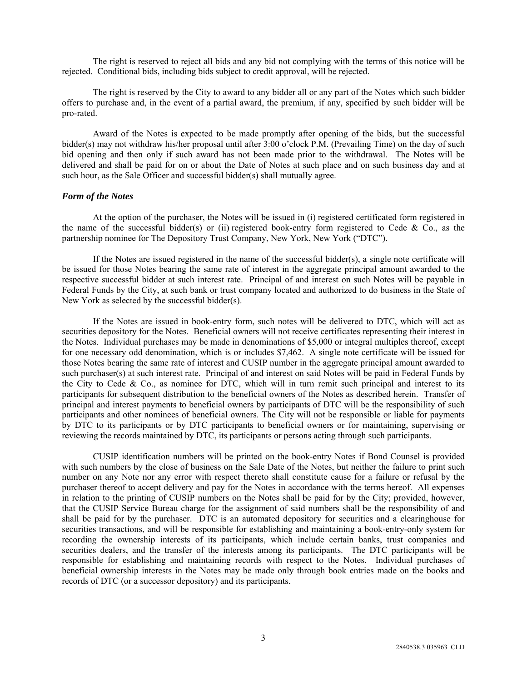The right is reserved to reject all bids and any bid not complying with the terms of this notice will be rejected. Conditional bids, including bids subject to credit approval, will be rejected.

The right is reserved by the City to award to any bidder all or any part of the Notes which such bidder offers to purchase and, in the event of a partial award, the premium, if any, specified by such bidder will be pro-rated.

Award of the Notes is expected to be made promptly after opening of the bids, but the successful bidder(s) may not withdraw his/her proposal until after 3:00 o'clock P.M. (Prevailing Time) on the day of such bid opening and then only if such award has not been made prior to the withdrawal. The Notes will be delivered and shall be paid for on or about the Date of Notes at such place and on such business day and at such hour, as the Sale Officer and successful bidder(s) shall mutually agree.

### *Form of the Notes*

At the option of the purchaser, the Notes will be issued in (i) registered certificated form registered in the name of the successful bidder(s) or (ii) registered book-entry form registered to Cede & Co., as the partnership nominee for The Depository Trust Company, New York, New York ("DTC").

If the Notes are issued registered in the name of the successful bidder(s), a single note certificate will be issued for those Notes bearing the same rate of interest in the aggregate principal amount awarded to the respective successful bidder at such interest rate. Principal of and interest on such Notes will be payable in Federal Funds by the City, at such bank or trust company located and authorized to do business in the State of New York as selected by the successful bidder(s).

If the Notes are issued in book-entry form, such notes will be delivered to DTC, which will act as securities depository for the Notes. Beneficial owners will not receive certificates representing their interest in the Notes. Individual purchases may be made in denominations of \$5,000 or integral multiples thereof, except for one necessary odd denomination, which is or includes \$7,462. A single note certificate will be issued for those Notes bearing the same rate of interest and CUSIP number in the aggregate principal amount awarded to such purchaser(s) at such interest rate. Principal of and interest on said Notes will be paid in Federal Funds by the City to Cede & Co., as nominee for DTC, which will in turn remit such principal and interest to its participants for subsequent distribution to the beneficial owners of the Notes as described herein. Transfer of principal and interest payments to beneficial owners by participants of DTC will be the responsibility of such participants and other nominees of beneficial owners. The City will not be responsible or liable for payments by DTC to its participants or by DTC participants to beneficial owners or for maintaining, supervising or reviewing the records maintained by DTC, its participants or persons acting through such participants.

CUSIP identification numbers will be printed on the book-entry Notes if Bond Counsel is provided with such numbers by the close of business on the Sale Date of the Notes, but neither the failure to print such number on any Note nor any error with respect thereto shall constitute cause for a failure or refusal by the purchaser thereof to accept delivery and pay for the Notes in accordance with the terms hereof. All expenses in relation to the printing of CUSIP numbers on the Notes shall be paid for by the City; provided, however, that the CUSIP Service Bureau charge for the assignment of said numbers shall be the responsibility of and shall be paid for by the purchaser. DTC is an automated depository for securities and a clearinghouse for securities transactions, and will be responsible for establishing and maintaining a book-entry-only system for recording the ownership interests of its participants, which include certain banks, trust companies and securities dealers, and the transfer of the interests among its participants. The DTC participants will be responsible for establishing and maintaining records with respect to the Notes. Individual purchases of beneficial ownership interests in the Notes may be made only through book entries made on the books and records of DTC (or a successor depository) and its participants.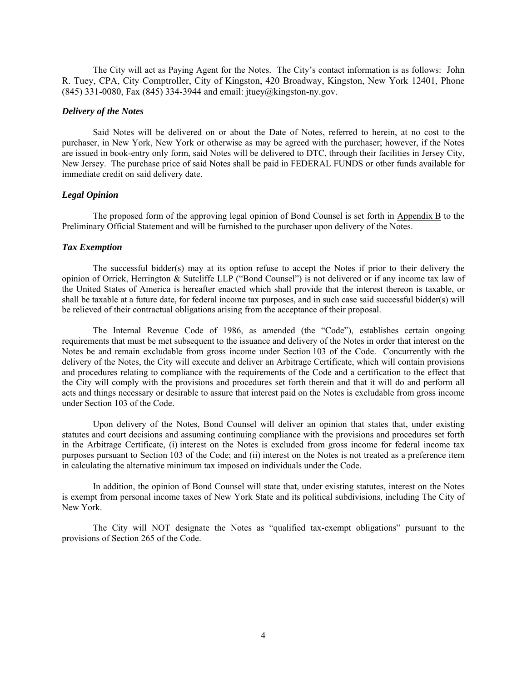The City will act as Paying Agent for the Notes. The City's contact information is as follows: John R. Tuey, CPA, City Comptroller, City of Kingston, 420 Broadway, Kingston, New York 12401, Phone (845) 331-0080, Fax (845) 334-3944 and email: jtuey@kingston-ny.gov.

### *Delivery of the Notes*

Said Notes will be delivered on or about the Date of Notes, referred to herein, at no cost to the purchaser, in New York, New York or otherwise as may be agreed with the purchaser; however, if the Notes are issued in book-entry only form, said Notes will be delivered to DTC, through their facilities in Jersey City, New Jersey. The purchase price of said Notes shall be paid in FEDERAL FUNDS or other funds available for immediate credit on said delivery date.

#### *Legal Opinion*

The proposed form of the approving legal opinion of Bond Counsel is set forth in Appendix B to the Preliminary Official Statement and will be furnished to the purchaser upon delivery of the Notes.

#### *Tax Exemption*

The successful bidder(s) may at its option refuse to accept the Notes if prior to their delivery the opinion of Orrick, Herrington & Sutcliffe LLP ("Bond Counsel") is not delivered or if any income tax law of the United States of America is hereafter enacted which shall provide that the interest thereon is taxable, or shall be taxable at a future date, for federal income tax purposes, and in such case said successful bidder(s) will be relieved of their contractual obligations arising from the acceptance of their proposal.

The Internal Revenue Code of 1986, as amended (the "Code"), establishes certain ongoing requirements that must be met subsequent to the issuance and delivery of the Notes in order that interest on the Notes be and remain excludable from gross income under Section 103 of the Code. Concurrently with the delivery of the Notes, the City will execute and deliver an Arbitrage Certificate, which will contain provisions and procedures relating to compliance with the requirements of the Code and a certification to the effect that the City will comply with the provisions and procedures set forth therein and that it will do and perform all acts and things necessary or desirable to assure that interest paid on the Notes is excludable from gross income under Section 103 of the Code.

Upon delivery of the Notes, Bond Counsel will deliver an opinion that states that, under existing statutes and court decisions and assuming continuing compliance with the provisions and procedures set forth in the Arbitrage Certificate, (i) interest on the Notes is excluded from gross income for federal income tax purposes pursuant to Section 103 of the Code; and (ii) interest on the Notes is not treated as a preference item in calculating the alternative minimum tax imposed on individuals under the Code.

In addition, the opinion of Bond Counsel will state that, under existing statutes, interest on the Notes is exempt from personal income taxes of New York State and its political subdivisions, including The City of New York.

The City will NOT designate the Notes as "qualified tax-exempt obligations" pursuant to the provisions of Section 265 of the Code.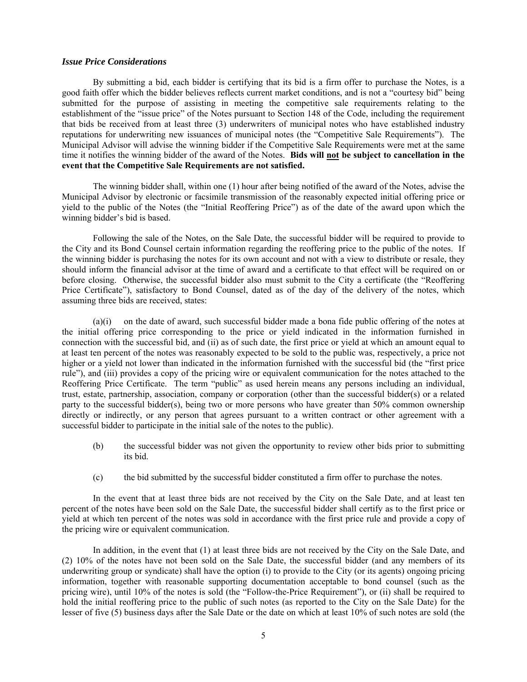#### *Issue Price Considerations*

By submitting a bid, each bidder is certifying that its bid is a firm offer to purchase the Notes, is a good faith offer which the bidder believes reflects current market conditions, and is not a "courtesy bid" being submitted for the purpose of assisting in meeting the competitive sale requirements relating to the establishment of the "issue price" of the Notes pursuant to Section 148 of the Code, including the requirement that bids be received from at least three (3) underwriters of municipal notes who have established industry reputations for underwriting new issuances of municipal notes (the "Competitive Sale Requirements"). The Municipal Advisor will advise the winning bidder if the Competitive Sale Requirements were met at the same time it notifies the winning bidder of the award of the Notes. **Bids will not be subject to cancellation in the event that the Competitive Sale Requirements are not satisfied.**

The winning bidder shall, within one (1) hour after being notified of the award of the Notes, advise the Municipal Advisor by electronic or facsimile transmission of the reasonably expected initial offering price or yield to the public of the Notes (the "Initial Reoffering Price") as of the date of the award upon which the winning bidder's bid is based.

Following the sale of the Notes, on the Sale Date, the successful bidder will be required to provide to the City and its Bond Counsel certain information regarding the reoffering price to the public of the notes. If the winning bidder is purchasing the notes for its own account and not with a view to distribute or resale, they should inform the financial advisor at the time of award and a certificate to that effect will be required on or before closing. Otherwise, the successful bidder also must submit to the City a certificate (the "Reoffering Price Certificate"), satisfactory to Bond Counsel, dated as of the day of the delivery of the notes, which assuming three bids are received, states:

(a)(i) on the date of award, such successful bidder made a bona fide public offering of the notes at the initial offering price corresponding to the price or yield indicated in the information furnished in connection with the successful bid, and (ii) as of such date, the first price or yield at which an amount equal to at least ten percent of the notes was reasonably expected to be sold to the public was, respectively, a price not higher or a yield not lower than indicated in the information furnished with the successful bid (the "first price rule"), and (iii) provides a copy of the pricing wire or equivalent communication for the notes attached to the Reoffering Price Certificate. The term "public" as used herein means any persons including an individual, trust, estate, partnership, association, company or corporation (other than the successful bidder(s) or a related party to the successful bidder(s), being two or more persons who have greater than 50% common ownership directly or indirectly, or any person that agrees pursuant to a written contract or other agreement with a successful bidder to participate in the initial sale of the notes to the public).

- (b) the successful bidder was not given the opportunity to review other bids prior to submitting its bid.
- (c) the bid submitted by the successful bidder constituted a firm offer to purchase the notes.

In the event that at least three bids are not received by the City on the Sale Date, and at least ten percent of the notes have been sold on the Sale Date, the successful bidder shall certify as to the first price or yield at which ten percent of the notes was sold in accordance with the first price rule and provide a copy of the pricing wire or equivalent communication.

In addition, in the event that (1) at least three bids are not received by the City on the Sale Date, and (2) 10% of the notes have not been sold on the Sale Date, the successful bidder (and any members of its underwriting group or syndicate) shall have the option (i) to provide to the City (or its agents) ongoing pricing information, together with reasonable supporting documentation acceptable to bond counsel (such as the pricing wire), until 10% of the notes is sold (the "Follow-the-Price Requirement"), or (ii) shall be required to hold the initial reoffering price to the public of such notes (as reported to the City on the Sale Date) for the lesser of five (5) business days after the Sale Date or the date on which at least 10% of such notes are sold (the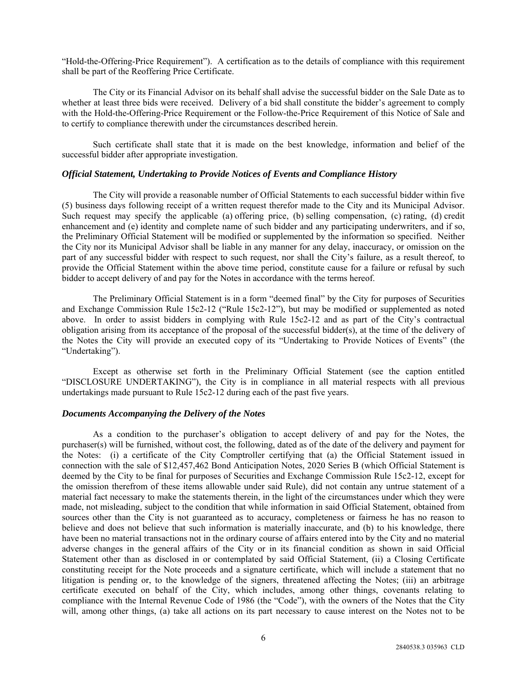"Hold-the-Offering-Price Requirement"). A certification as to the details of compliance with this requirement shall be part of the Reoffering Price Certificate.

The City or its Financial Advisor on its behalf shall advise the successful bidder on the Sale Date as to whether at least three bids were received. Delivery of a bid shall constitute the bidder's agreement to comply with the Hold-the-Offering-Price Requirement or the Follow-the-Price Requirement of this Notice of Sale and to certify to compliance therewith under the circumstances described herein.

Such certificate shall state that it is made on the best knowledge, information and belief of the successful bidder after appropriate investigation.

#### *Official Statement, Undertaking to Provide Notices of Events and Compliance History*

The City will provide a reasonable number of Official Statements to each successful bidder within five (5) business days following receipt of a written request therefor made to the City and its Municipal Advisor. Such request may specify the applicable (a) offering price, (b) selling compensation, (c) rating, (d) credit enhancement and (e) identity and complete name of such bidder and any participating underwriters, and if so, the Preliminary Official Statement will be modified or supplemented by the information so specified. Neither the City nor its Municipal Advisor shall be liable in any manner for any delay, inaccuracy, or omission on the part of any successful bidder with respect to such request, nor shall the City's failure, as a result thereof, to provide the Official Statement within the above time period, constitute cause for a failure or refusal by such bidder to accept delivery of and pay for the Notes in accordance with the terms hereof.

The Preliminary Official Statement is in a form "deemed final" by the City for purposes of Securities and Exchange Commission Rule 15c2-12 ("Rule 15c2-12"), but may be modified or supplemented as noted above. In order to assist bidders in complying with Rule 15c2-12 and as part of the City's contractual obligation arising from its acceptance of the proposal of the successful bidder(s), at the time of the delivery of the Notes the City will provide an executed copy of its "Undertaking to Provide Notices of Events" (the "Undertaking").

Except as otherwise set forth in the Preliminary Official Statement (see the caption entitled "DISCLOSURE UNDERTAKING"), the City is in compliance in all material respects with all previous undertakings made pursuant to Rule 15c2-12 during each of the past five years.

#### *Documents Accompanying the Delivery of the Notes*

As a condition to the purchaser's obligation to accept delivery of and pay for the Notes, the purchaser(s) will be furnished, without cost, the following, dated as of the date of the delivery and payment for the Notes: (i) a certificate of the City Comptroller certifying that (a) the Official Statement issued in connection with the sale of \$12,457,462 Bond Anticipation Notes, 2020 Series B (which Official Statement is deemed by the City to be final for purposes of Securities and Exchange Commission Rule 15c2-12, except for the omission therefrom of these items allowable under said Rule), did not contain any untrue statement of a material fact necessary to make the statements therein, in the light of the circumstances under which they were made, not misleading, subject to the condition that while information in said Official Statement, obtained from sources other than the City is not guaranteed as to accuracy, completeness or fairness he has no reason to believe and does not believe that such information is materially inaccurate, and (b) to his knowledge, there have been no material transactions not in the ordinary course of affairs entered into by the City and no material adverse changes in the general affairs of the City or in its financial condition as shown in said Official Statement other than as disclosed in or contemplated by said Official Statement, (ii) a Closing Certificate constituting receipt for the Note proceeds and a signature certificate, which will include a statement that no litigation is pending or, to the knowledge of the signers, threatened affecting the Notes; (iii) an arbitrage certificate executed on behalf of the City, which includes, among other things, covenants relating to compliance with the Internal Revenue Code of 1986 (the "Code"), with the owners of the Notes that the City will, among other things, (a) take all actions on its part necessary to cause interest on the Notes not to be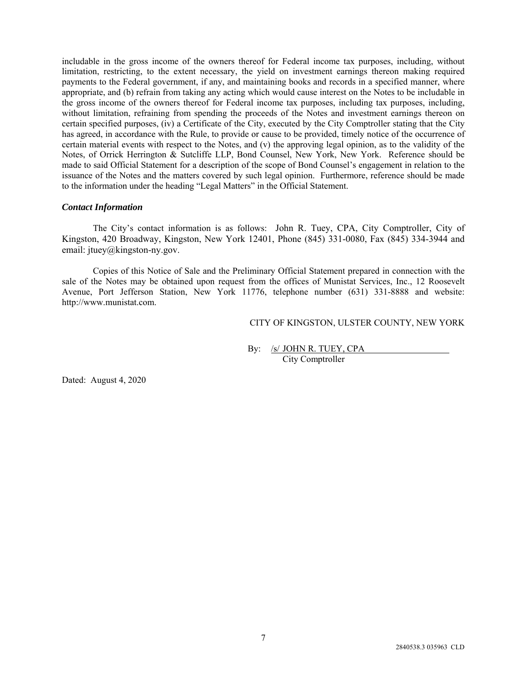includable in the gross income of the owners thereof for Federal income tax purposes, including, without limitation, restricting, to the extent necessary, the yield on investment earnings thereon making required payments to the Federal government, if any, and maintaining books and records in a specified manner, where appropriate, and (b) refrain from taking any acting which would cause interest on the Notes to be includable in the gross income of the owners thereof for Federal income tax purposes, including tax purposes, including, without limitation, refraining from spending the proceeds of the Notes and investment earnings thereon on certain specified purposes, (iv) a Certificate of the City, executed by the City Comptroller stating that the City has agreed, in accordance with the Rule, to provide or cause to be provided, timely notice of the occurrence of certain material events with respect to the Notes, and (v) the approving legal opinion, as to the validity of the Notes, of Orrick Herrington & Sutcliffe LLP, Bond Counsel, New York, New York. Reference should be made to said Official Statement for a description of the scope of Bond Counsel's engagement in relation to the issuance of the Notes and the matters covered by such legal opinion. Furthermore, reference should be made to the information under the heading "Legal Matters" in the Official Statement.

# *Contact Information*

The City's contact information is as follows: John R. Tuey, CPA, City Comptroller, City of Kingston, 420 Broadway, Kingston, New York 12401, Phone (845) 331-0080, Fax (845) 334-3944 and email: jtuey@kingston-ny.gov.

Copies of this Notice of Sale and the Preliminary Official Statement prepared in connection with the sale of the Notes may be obtained upon request from the offices of Munistat Services, Inc., 12 Roosevelt Avenue, Port Jefferson Station, New York 11776, telephone number (631) 331-8888 and website: http://www.munistat.com.

#### CITY OF KINGSTON, ULSTER COUNTY, NEW YORK

By: /s/ JOHN R. TUEY, CPA City Comptroller

Dated: August 4, 2020